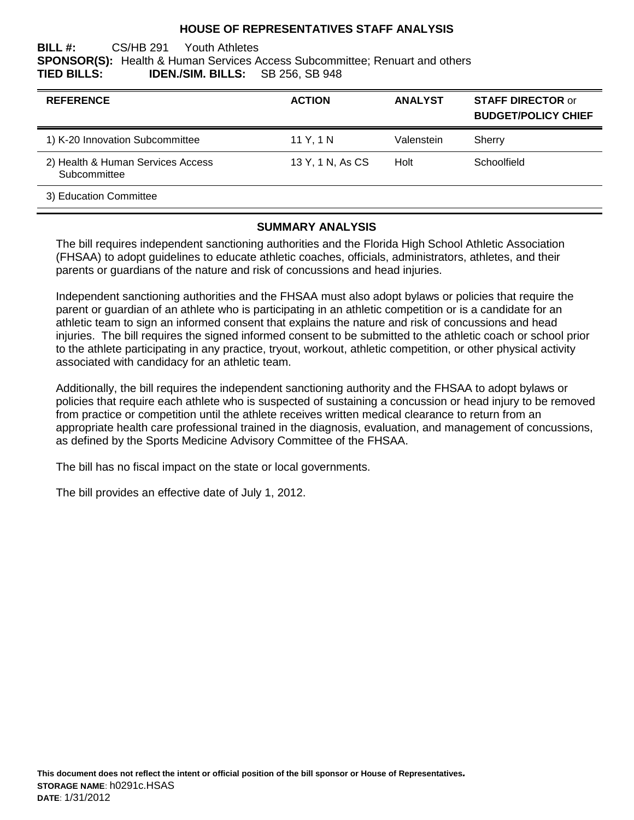### **HOUSE OF REPRESENTATIVES STAFF ANALYSIS**

**BILL #:** CS/HB 291 Youth Athletes **SPONSOR(S):** Health & Human Services Access Subcommittee; Renuart and others **TIED BILLS: IDEN./SIM. BILLS:** SB 256, SB 948

| <b>REFERENCE</b>                                  | <b>ACTION</b>    | <b>ANALYST</b> | <b>STAFF DIRECTOR or</b><br><b>BUDGET/POLICY CHIEF</b> |
|---------------------------------------------------|------------------|----------------|--------------------------------------------------------|
| 1) K-20 Innovation Subcommittee                   | 11 Y, 1 N        | Valenstein     | Sherry                                                 |
| 2) Health & Human Services Access<br>Subcommittee | 13 Y, 1 N, As CS | Holt           | Schoolfield                                            |
| 3) Education Committee                            |                  |                |                                                        |

#### **SUMMARY ANALYSIS**

The bill requires independent sanctioning authorities and the Florida High School Athletic Association (FHSAA) to adopt guidelines to educate athletic coaches, officials, administrators, athletes, and their parents or guardians of the nature and risk of concussions and head injuries.

Independent sanctioning authorities and the FHSAA must also adopt bylaws or policies that require the parent or guardian of an athlete who is participating in an athletic competition or is a candidate for an athletic team to sign an informed consent that explains the nature and risk of concussions and head injuries. The bill requires the signed informed consent to be submitted to the athletic coach or school prior to the athlete participating in any practice, tryout, workout, athletic competition, or other physical activity associated with candidacy for an athletic team.

Additionally, the bill requires the independent sanctioning authority and the FHSAA to adopt bylaws or policies that require each athlete who is suspected of sustaining a concussion or head injury to be removed from practice or competition until the athlete receives written medical clearance to return from an appropriate health care professional trained in the diagnosis, evaluation, and management of concussions, as defined by the Sports Medicine Advisory Committee of the FHSAA.

The bill has no fiscal impact on the state or local governments.

The bill provides an effective date of July 1, 2012.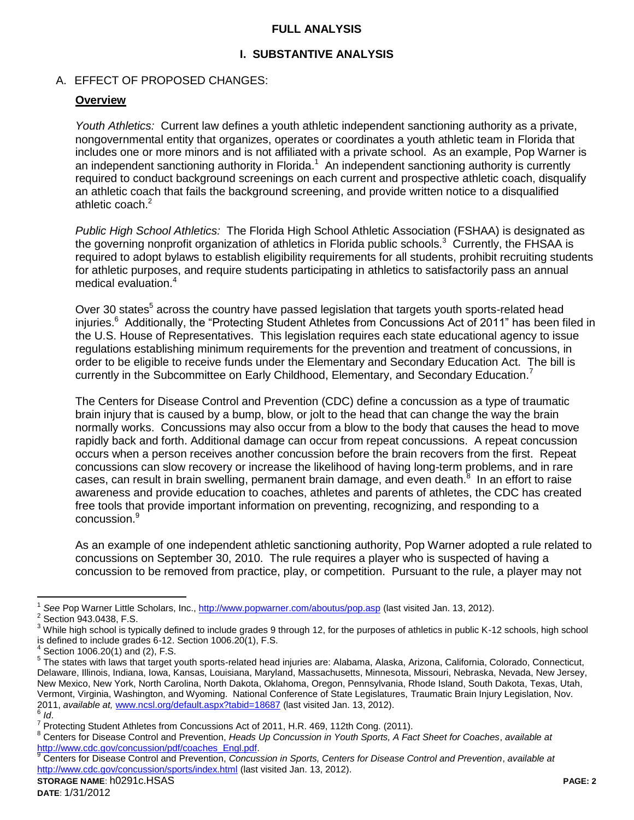### **FULL ANALYSIS**

### **I. SUBSTANTIVE ANALYSIS**

### A. EFFECT OF PROPOSED CHANGES:

### **Overview**

*Youth Athletics:* Current law defines a youth athletic independent sanctioning authority as a private, nongovernmental entity that organizes, operates or coordinates a youth athletic team in Florida that includes one or more minors and is not affiliated with a private school. As an example, Pop Warner is an independent sanctioning authority in Florida.<sup>1</sup> An independent sanctioning authority is currently required to conduct background screenings on each current and prospective athletic coach, disqualify an athletic coach that fails the background screening, and provide written notice to a disqualified athletic coach.<sup>2</sup>

*Public High School Athletics:* The Florida High School Athletic Association (FSHAA) is designated as the governing nonprofit organization of athletics in Florida public schools.<sup>3</sup> Currently, the FHSAA is required to adopt bylaws to establish eligibility requirements for all students, prohibit recruiting students for athletic purposes, and require students participating in athletics to satisfactorily pass an annual medical evaluation.<sup>4</sup>

Over 30 states<sup>5</sup> across the country have passed legislation that targets youth sports-related head injuries.<sup>6</sup> Additionally, the "Protecting Student Athletes from Concussions Act of 2011" has been filed in the U.S. House of Representatives. This legislation requires each state educational agency to issue regulations establishing minimum requirements for the prevention and treatment of concussions, in order to be eligible to receive funds under the Elementary and Secondary Education Act. The bill is currently in the Subcommittee on Early Childhood, Elementary, and Secondary Education.<sup>7</sup>

The Centers for Disease Control and Prevention (CDC) define a concussion as a type of traumatic brain injury that is caused by a bump, blow, or jolt to the head that can change the way the brain normally works. Concussions may also occur from a blow to the body that causes the head to move rapidly back and forth. Additional damage can occur from repeat concussions. A repeat concussion occurs when a person receives another concussion before the brain recovers from the first. Repeat concussions can slow recovery or increase the likelihood of having long-term problems, and in rare cases, can result in brain swelling, permanent brain damage, and even death.<sup>8</sup> In an effort to raise awareness and provide education to coaches, athletes and parents of athletes, the CDC has created free tools that provide important information on preventing, recognizing, and responding to a concussion.<sup>9</sup>

As an example of one independent athletic sanctioning authority, Pop Warner adopted a rule related to concussions on September 30, 2010. The rule requires a player who is suspected of having a concussion to be removed from practice, play, or competition. Pursuant to the rule, a player may not

 $\overline{a}$ 

<sup>1</sup> *See* Pop Warner Little Scholars, Inc.,<http://www.popwarner.com/aboutus/pop.asp> (last visited Jan. 13, 2012).

<sup>2</sup> Section 943.0438, F.S.

<sup>&</sup>lt;sup>3</sup> While high school is typically defined to include grades 9 through 12, for the purposes of athletics in public K-12 schools, high school is defined to include grades 6-12. Section 1006.20(1), F.S.

<sup>4</sup> Section 1006.20(1) and (2), F.S.

<sup>&</sup>lt;sup>5</sup> The states with laws that target youth sports-related head injuries are: Alabama, Alaska, Arizona, California, Colorado, Connecticut, Delaware, Illinois, Indiana, Iowa, Kansas, Louisiana, Maryland, Massachusetts, Minnesota, Missouri, Nebraska, Nevada, New Jersey, New Mexico, New York, North Carolina, North Dakota, Oklahoma, Oregon, Pennsylvania, Rhode Island, South Dakota, Texas, Utah, Vermont, Virginia, Washington, and Wyoming. National Conference of State Legislatures, Traumatic Brain Injury Legislation, Nov. 2011, *available at,* [www.ncsl.org/default.aspx?tabid=18687](http://www.ncsl.org/default.aspx?tabid=18687) (last visited Jan. 13, 2012). 6 *Id*.

 $^7$  Protecting Student Athletes from Concussions Act of 2011, H.R. 469, 112th Cong. (2011).

<sup>8</sup> Centers for Disease Control and Prevention, *Heads Up Concussion in Youth Sports, A Fact Sheet for Coaches*, *available at* [http://www.cdc.gov/concussion/pdf/coaches\\_Engl.pdf.](http://www.cdc.gov/concussion/pdf/coaches_Engl.pdf)

<sup>9</sup> Centers for Disease Control and Prevention, *Concussion in Sports, Centers for Disease Control and Prevention*, *available at*  <http://www.cdc.gov/concussion/sports/index.html> (last visited Jan. 13, 2012).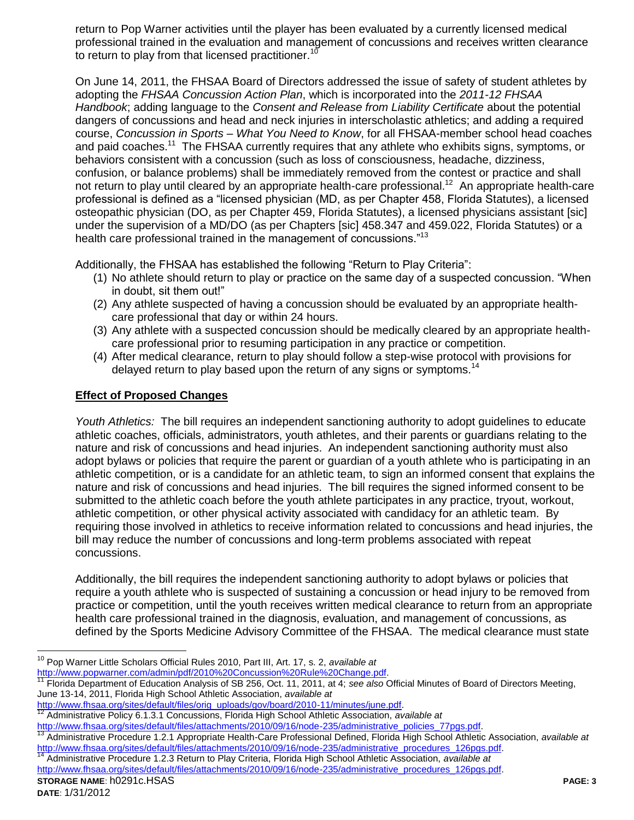return to Pop Warner activities until the player has been evaluated by a currently licensed medical professional trained in the evaluation and management of concussions and receives written clearance to return to play from that licensed practitioner.<sup>1</sup>

On June 14, 2011, the FHSAA Board of Directors addressed the issue of safety of student athletes by adopting the *FHSAA Concussion Action Plan*, which is incorporated into the *2011-12 FHSAA Handbook*; adding language to the *Consent and Release from Liability Certificate* about the potential dangers of concussions and head and neck injuries in interscholastic athletics; and adding a required course, *Concussion in Sports – What You Need to Know*, for all FHSAA-member school head coaches and paid coaches.<sup>11</sup> The FHSAA currently requires that any athlete who exhibits signs, symptoms, or behaviors consistent with a concussion (such as loss of consciousness, headache, dizziness, confusion, or balance problems) shall be immediately removed from the contest or practice and shall not return to play until cleared by an appropriate health-care professional.<sup>12</sup> An appropriate health-care professional is defined as a "licensed physician (MD, as per Chapter 458, Florida Statutes), a licensed osteopathic physician (DO, as per Chapter 459, Florida Statutes), a licensed physicians assistant [sic] under the supervision of a MD/DO (as per Chapters [sic] 458.347 and 459.022, Florida Statutes) or a health care professional trained in the management of concussions."<sup>13</sup>

Additionally, the FHSAA has established the following "Return to Play Criteria":

- (1) No athlete should return to play or practice on the same day of a suspected concussion. "When in doubt, sit them out!"
- (2) Any athlete suspected of having a concussion should be evaluated by an appropriate healthcare professional that day or within 24 hours.
- (3) Any athlete with a suspected concussion should be medically cleared by an appropriate healthcare professional prior to resuming participation in any practice or competition.
- (4) After medical clearance, return to play should follow a step-wise protocol with provisions for delayed return to play based upon the return of any signs or symptoms.<sup>14</sup>

### **Effect of Proposed Changes**

*Youth Athletics:* The bill requires an independent sanctioning authority to adopt guidelines to educate athletic coaches, officials, administrators, youth athletes, and their parents or guardians relating to the nature and risk of concussions and head injuries. An independent sanctioning authority must also adopt bylaws or policies that require the parent or guardian of a youth athlete who is participating in an athletic competition, or is a candidate for an athletic team, to sign an informed consent that explains the nature and risk of concussions and head injuries. The bill requires the signed informed consent to be submitted to the athletic coach before the youth athlete participates in any practice, tryout, workout, athletic competition, or other physical activity associated with candidacy for an athletic team. By requiring those involved in athletics to receive information related to concussions and head injuries, the bill may reduce the number of concussions and long-term problems associated with repeat concussions.

Additionally, the bill requires the independent sanctioning authority to adopt bylaws or policies that require a youth athlete who is suspected of sustaining a concussion or head injury to be removed from practice or competition, until the youth receives written medical clearance to return from an appropriate health care professional trained in the diagnosis, evaluation, and management of concussions, as defined by the Sports Medicine Advisory Committee of the FHSAA. The medical clearance must state

- [http://www.fhsaa.org/sites/default/files/orig\\_uploads/gov/board/2010-11/minutes/june.pdf.](http://www.fhsaa.org/sites/default/files/orig_uploads/gov/board/2010-11/minutes/june.pdf)<br><sup>12</sup> Administrative Peliov 6.4.3.4 Cares orig\_uploads/gov/board/2010-11/minutes/june.pdf.
- <sup>12</sup> Administrative Policy 6.1.3.1 Concussions, Florida High School Athletic Association, *available at*

 $\overline{a}$ <sup>10</sup> Pop Warner Little Scholars Official Rules 2010, Part III, Art. 17, s. 2, *available at*  [http://www.popwarner.com/admin/pdf/2010%20Concussion%20Rule%20Change.pdf.](http://www.popwarner.com/admin/pdf/2010%20Concussion%20Rule%20Change.pdf)

<sup>11</sup> Florida Department of Education Analysis of SB 256, Oct. 11, 2011, at 4; *see also* Official Minutes of Board of Directors Meeting, June 13-14, 2011, Florida High School Athletic Association, *available at* 

[http://www.fhsaa.org/sites/default/files/attachments/2010/09/16/node-235/administrative\\_policies\\_77pgs.pdf.](http://www.fhsaa.org/sites/default/files/attachments/2010/09/16/node-235/administrative_policies_77pgs.pdf)<br><sup>13</sup> Administrative Precedure 1.2.1 Apprensiste Heelth Care Prefessional Defined Flaside Ligh School Athletic

<sup>13</sup> Administrative Procedure 1.2.1 Appropriate Health-Care Professional Defined, Florida High School Athletic Association, *available at*  [http://www.fhsaa.org/sites/default/files/attachments/2010/09/16/node-235/administrative\\_procedures\\_126pgs.pdf.](http://www.fhsaa.org/sites/default/files/attachments/2010/09/16/node-235/administrative_procedures_126pgs.pdf)<br>14 Administrative Procedure 4.0.0 Betweets Play Office's Flatter Ush Ocheal Att Little Accessistics providents

**STORAGE NAME**: h0291c.HSAS **PAGE: 3** <sup>14</sup> Administrative Procedure 1.2.3 Return to Play Criteria, Florida High School Athletic Association, *available at*  [http://www.fhsaa.org/sites/default/files/attachments/2010/09/16/node-235/administrative\\_procedures\\_126pgs.pdf.](http://www.fhsaa.org/sites/default/files/attachments/2010/09/16/node-235/administrative_procedures_126pgs.pdf)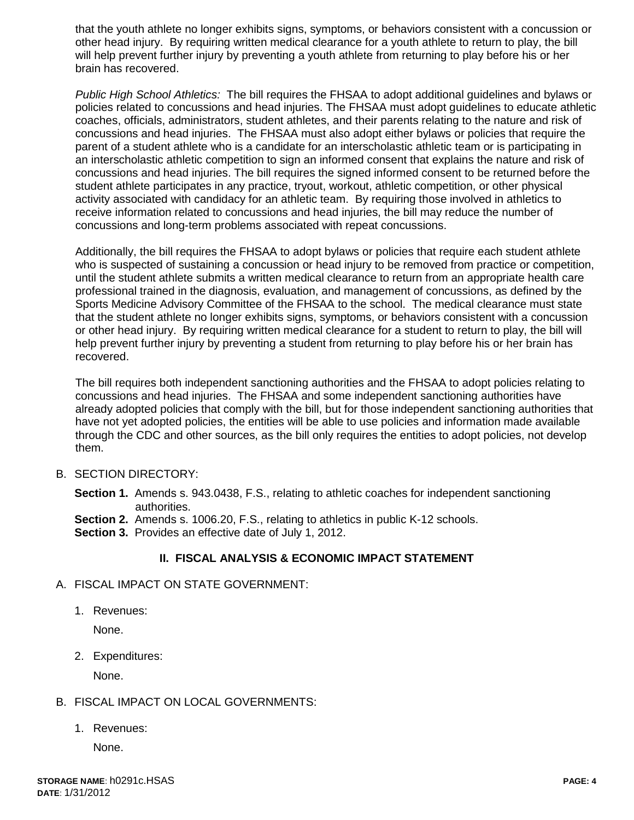that the youth athlete no longer exhibits signs, symptoms, or behaviors consistent with a concussion or other head injury. By requiring written medical clearance for a youth athlete to return to play, the bill will help prevent further injury by preventing a youth athlete from returning to play before his or her brain has recovered.

*Public High School Athletics:* The bill requires the FHSAA to adopt additional guidelines and bylaws or policies related to concussions and head injuries. The FHSAA must adopt guidelines to educate athletic coaches, officials, administrators, student athletes, and their parents relating to the nature and risk of concussions and head injuries. The FHSAA must also adopt either bylaws or policies that require the parent of a student athlete who is a candidate for an interscholastic athletic team or is participating in an interscholastic athletic competition to sign an informed consent that explains the nature and risk of concussions and head injuries. The bill requires the signed informed consent to be returned before the student athlete participates in any practice, tryout, workout, athletic competition, or other physical activity associated with candidacy for an athletic team. By requiring those involved in athletics to receive information related to concussions and head injuries, the bill may reduce the number of concussions and long-term problems associated with repeat concussions.

Additionally, the bill requires the FHSAA to adopt bylaws or policies that require each student athlete who is suspected of sustaining a concussion or head injury to be removed from practice or competition, until the student athlete submits a written medical clearance to return from an appropriate health care professional trained in the diagnosis, evaluation, and management of concussions, as defined by the Sports Medicine Advisory Committee of the FHSAA to the school. The medical clearance must state that the student athlete no longer exhibits signs, symptoms, or behaviors consistent with a concussion or other head injury. By requiring written medical clearance for a student to return to play, the bill will help prevent further injury by preventing a student from returning to play before his or her brain has recovered.

The bill requires both independent sanctioning authorities and the FHSAA to adopt policies relating to concussions and head injuries. The FHSAA and some independent sanctioning authorities have already adopted policies that comply with the bill, but for those independent sanctioning authorities that have not yet adopted policies, the entities will be able to use policies and information made available through the CDC and other sources, as the bill only requires the entities to adopt policies, not develop them.

### B. SECTION DIRECTORY:

**Section 1.** Amends s. 943.0438, F.S., relating to athletic coaches for independent sanctioning authorities.

**Section 2.** Amends s. 1006.20, F.S., relating to athletics in public K-12 schools.

**Section 3.** Provides an effective date of July 1, 2012.

### **II. FISCAL ANALYSIS & ECONOMIC IMPACT STATEMENT**

- A. FISCAL IMPACT ON STATE GOVERNMENT:
	- 1. Revenues:

None.

2. Expenditures:

None.

## B. FISCAL IMPACT ON LOCAL GOVERNMENTS:

1. Revenues:

None.